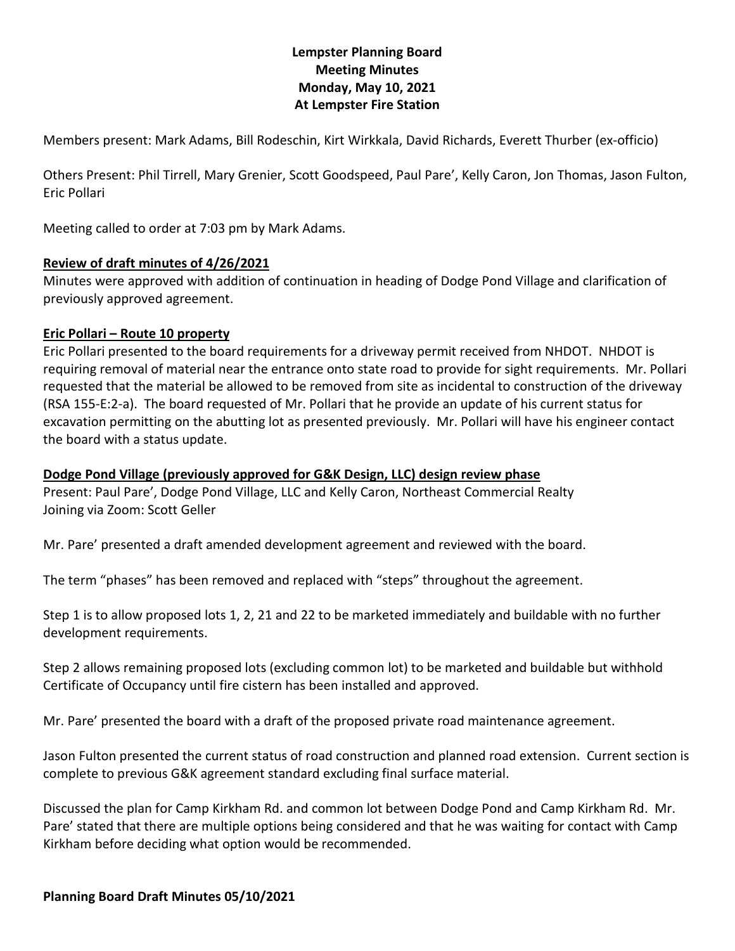# **Lempster Planning Board Meeting Minutes Monday, May 10, 2021 At Lempster Fire Station**

Members present: Mark Adams, Bill Rodeschin, Kirt Wirkkala, David Richards, Everett Thurber (ex-officio)

Others Present: Phil Tirrell, Mary Grenier, Scott Goodspeed, Paul Pare', Kelly Caron, Jon Thomas, Jason Fulton, Eric Pollari

Meeting called to order at 7:03 pm by Mark Adams.

#### **Review of draft minutes of 4/26/2021**

Minutes were approved with addition of continuation in heading of Dodge Pond Village and clarification of previously approved agreement.

## **Eric Pollari – Route 10 property**

Eric Pollari presented to the board requirements for a driveway permit received from NHDOT. NHDOT is requiring removal of material near the entrance onto state road to provide for sight requirements. Mr. Pollari requested that the material be allowed to be removed from site as incidental to construction of the driveway (RSA 155-E:2-a). The board requested of Mr. Pollari that he provide an update of his current status for excavation permitting on the abutting lot as presented previously. Mr. Pollari will have his engineer contact the board with a status update.

## **Dodge Pond Village (previously approved for G&K Design, LLC) design review phase**

Present: Paul Pare', Dodge Pond Village, LLC and Kelly Caron, Northeast Commercial Realty Joining via Zoom: Scott Geller

Mr. Pare' presented a draft amended development agreement and reviewed with the board.

The term "phases" has been removed and replaced with "steps" throughout the agreement.

Step 1 is to allow proposed lots 1, 2, 21 and 22 to be marketed immediately and buildable with no further development requirements.

Step 2 allows remaining proposed lots (excluding common lot) to be marketed and buildable but withhold Certificate of Occupancy until fire cistern has been installed and approved.

Mr. Pare' presented the board with a draft of the proposed private road maintenance agreement.

Jason Fulton presented the current status of road construction and planned road extension. Current section is complete to previous G&K agreement standard excluding final surface material.

Discussed the plan for Camp Kirkham Rd. and common lot between Dodge Pond and Camp Kirkham Rd. Mr. Pare' stated that there are multiple options being considered and that he was waiting for contact with Camp Kirkham before deciding what option would be recommended.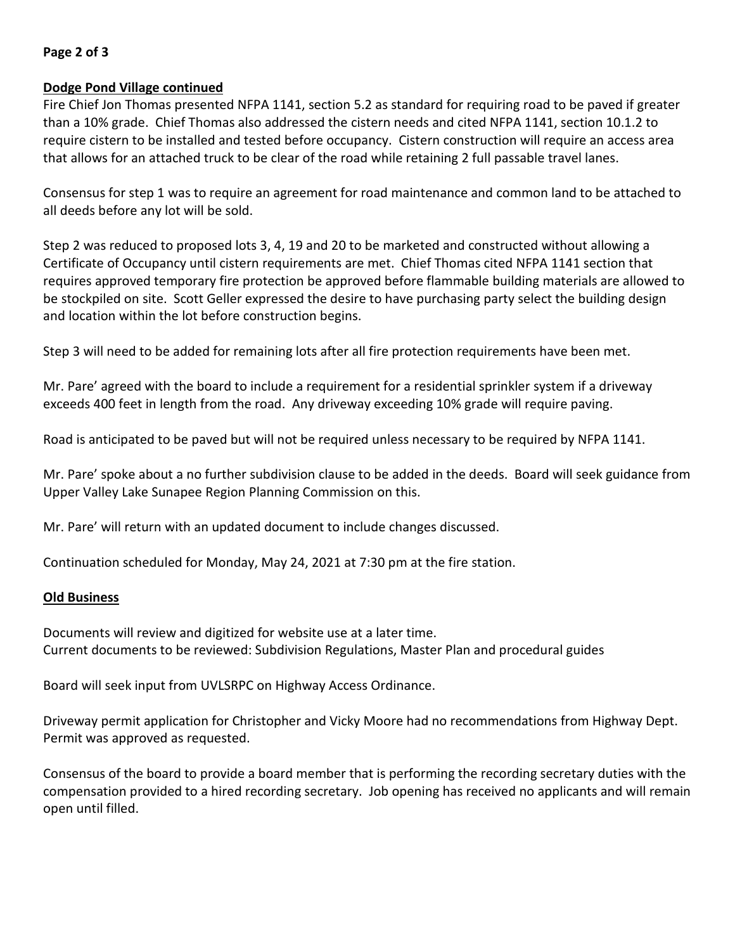## **Page 2 of 3**

#### **Dodge Pond Village continued**

Fire Chief Jon Thomas presented NFPA 1141, section 5.2 as standard for requiring road to be paved if greater than a 10% grade. Chief Thomas also addressed the cistern needs and cited NFPA 1141, section 10.1.2 to require cistern to be installed and tested before occupancy. Cistern construction will require an access area that allows for an attached truck to be clear of the road while retaining 2 full passable travel lanes.

Consensus for step 1 was to require an agreement for road maintenance and common land to be attached to all deeds before any lot will be sold.

Step 2 was reduced to proposed lots 3, 4, 19 and 20 to be marketed and constructed without allowing a Certificate of Occupancy until cistern requirements are met. Chief Thomas cited NFPA 1141 section that requires approved temporary fire protection be approved before flammable building materials are allowed to be stockpiled on site. Scott Geller expressed the desire to have purchasing party select the building design and location within the lot before construction begins.

Step 3 will need to be added for remaining lots after all fire protection requirements have been met.

Mr. Pare' agreed with the board to include a requirement for a residential sprinkler system if a driveway exceeds 400 feet in length from the road. Any driveway exceeding 10% grade will require paving.

Road is anticipated to be paved but will not be required unless necessary to be required by NFPA 1141.

Mr. Pare' spoke about a no further subdivision clause to be added in the deeds. Board will seek guidance from Upper Valley Lake Sunapee Region Planning Commission on this.

Mr. Pare' will return with an updated document to include changes discussed.

Continuation scheduled for Monday, May 24, 2021 at 7:30 pm at the fire station.

#### **Old Business**

Documents will review and digitized for website use at a later time. Current documents to be reviewed: Subdivision Regulations, Master Plan and procedural guides

Board will seek input from UVLSRPC on Highway Access Ordinance.

Driveway permit application for Christopher and Vicky Moore had no recommendations from Highway Dept. Permit was approved as requested.

Consensus of the board to provide a board member that is performing the recording secretary duties with the compensation provided to a hired recording secretary. Job opening has received no applicants and will remain open until filled.